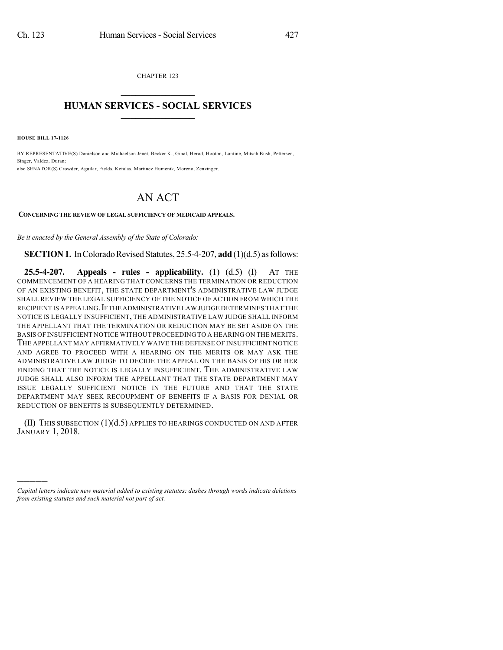CHAPTER 123  $\overline{\phantom{a}}$  . The set of the set of the set of the set of the set of the set of the set of the set of the set of the set of the set of the set of the set of the set of the set of the set of the set of the set of the set o

## **HUMAN SERVICES - SOCIAL SERVICES**  $\frac{1}{2}$  ,  $\frac{1}{2}$  ,  $\frac{1}{2}$  ,  $\frac{1}{2}$  ,  $\frac{1}{2}$  ,  $\frac{1}{2}$

**HOUSE BILL 17-1126**

)))))

BY REPRESENTATIVE(S) Danielson and Michaelson Jenet, Becker K., Ginal, Herod, Hooton, Lontine, Mitsch Bush, Pettersen, Singer, Valdez, Duran; also SENATOR(S) Crowder, Aguilar, Fields, Kefalas, Martinez Humenik, Moreno, Zenzinger.

## AN ACT

## **CONCERNING THE REVIEW OF LEGAL SUFFICIENCY OF MEDICAID APPEALS.**

*Be it enacted by the General Assembly of the State of Colorado:*

**SECTION 1.** In Colorado Revised Statutes, 25.5-4-207, add (1)(d.5) as follows:

**25.5-4-207. Appeals - rules - applicability.** (1) (d.5) (I) AT THE COMMENCEMENT OF A HEARING THAT CONCERNS THE TERMINATION OR REDUCTION OF AN EXISTING BENEFIT, THE STATE DEPARTMENT'S ADMINISTRATIVE LAW JUDGE SHALL REVIEW THE LEGAL SUFFICIENCY OF THE NOTICE OF ACTION FROM WHICH THE RECIPIENT IS APPEALING. IF THE ADMINISTRATIVE LAW JUDGE DETERMINES THAT THE NOTICE IS LEGALLY INSUFFICIENT, THE ADMINISTRATIVE LAW JUDGE SHALL INFORM THE APPELLANT THAT THE TERMINATION OR REDUCTION MAY BE SET ASIDE ON THE BASIS OFINSUFFICIENT NOTICE WITHOUT PROCEEDING TO A HEARING ON THE MERITS. THE APPELLANT MAY AFFIRMATIVELY WAIVE THE DEFENSE OF INSUFFICIENT NOTICE AND AGREE TO PROCEED WITH A HEARING ON THE MERITS OR MAY ASK THE ADMINISTRATIVE LAW JUDGE TO DECIDE THE APPEAL ON THE BASIS OF HIS OR HER FINDING THAT THE NOTICE IS LEGALLY INSUFFICIENT. THE ADMINISTRATIVE LAW JUDGE SHALL ALSO INFORM THE APPELLANT THAT THE STATE DEPARTMENT MAY ISSUE LEGALLY SUFFICIENT NOTICE IN THE FUTURE AND THAT THE STATE DEPARTMENT MAY SEEK RECOUPMENT OF BENEFITS IF A BASIS FOR DENIAL OR REDUCTION OF BENEFITS IS SUBSEQUENTLY DETERMINED.

(II) THIS SUBSECTION (1)(d.5) APPLIES TO HEARINGS CONDUCTED ON AND AFTER JANUARY 1, 2018.

*Capital letters indicate new material added to existing statutes; dashes through words indicate deletions from existing statutes and such material not part of act.*